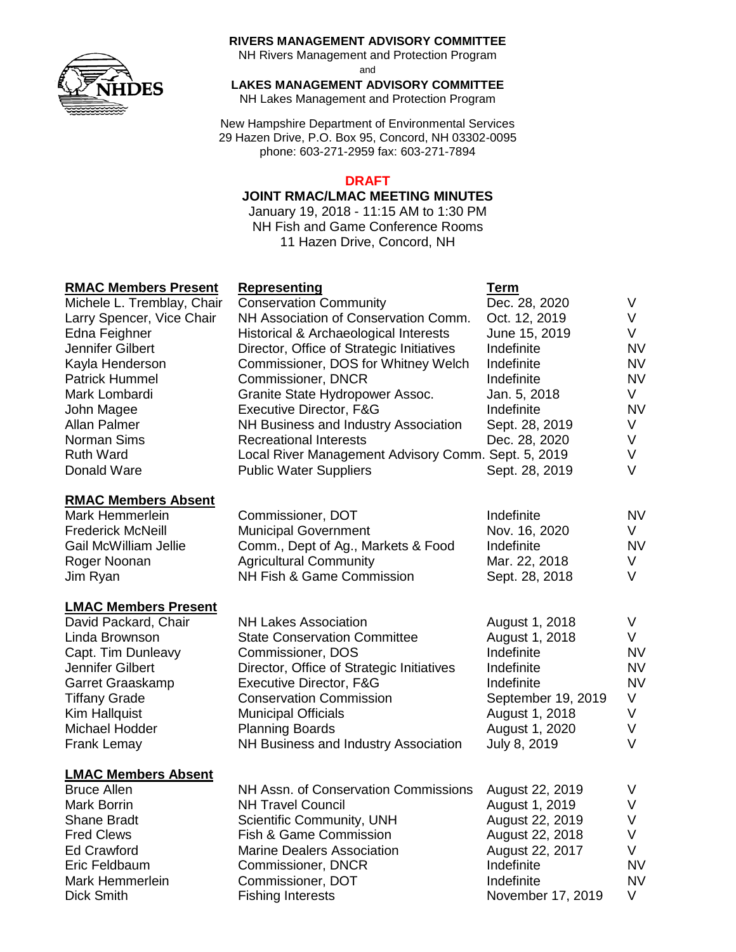

#### **RIVERS MANAGEMENT ADVISORY COMMITTEE**

NH Rivers Management and Protection Program

and

**LAKES MANAGEMENT ADVISORY COMMITTEE**

NH Lakes Management and Protection Program

New Hampshire Department of Environmental Services 29 Hazen Drive, P.O. Box 95, Concord, NH 03302-0095 phone: 603-271-2959 fax: 603-271-7894

#### **DRAFT**

#### **JOINT RMAC/LMAC MEETING MINUTES**

January 19, 2018 - 11:15 AM to 1:30 PM NH Fish and Game Conference Rooms 11 Hazen Drive, Concord, NH

## **RMAC Members Present Representing Term**

| <b>KIVIAU IVIEIIIDEIS PIESEIII</b> | <u>Representing</u>                                 | Term               |           |
|------------------------------------|-----------------------------------------------------|--------------------|-----------|
| Michele L. Tremblay, Chair         | <b>Conservation Community</b>                       | Dec. 28, 2020      | V         |
| Larry Spencer, Vice Chair          | NH Association of Conservation Comm.                | Oct. 12, 2019      | V         |
| Edna Feighner                      | Historical & Archaeological Interests               | June 15, 2019      | V         |
| Jennifer Gilbert                   | Director, Office of Strategic Initiatives           | Indefinite         | <b>NV</b> |
| Kayla Henderson                    | Commissioner, DOS for Whitney Welch                 | Indefinite         | <b>NV</b> |
| <b>Patrick Hummel</b>              | Commissioner, DNCR                                  | Indefinite         | <b>NV</b> |
| Mark Lombardi                      | Granite State Hydropower Assoc.                     | Jan. 5, 2018       | V         |
| John Magee                         | Executive Director, F&G                             | Indefinite         | <b>NV</b> |
| Allan Palmer                       | NH Business and Industry Association                | Sept. 28, 2019     | V         |
| Norman Sims                        | <b>Recreational Interests</b>                       | Dec. 28, 2020      | V         |
| <b>Ruth Ward</b>                   | Local River Management Advisory Comm. Sept. 5, 2019 |                    | V         |
| Donald Ware                        | <b>Public Water Suppliers</b>                       | Sept. 28, 2019     | $\vee$    |
| <b>RMAC Members Absent</b>         |                                                     |                    |           |
| Mark Hemmerlein                    | Commissioner, DOT                                   | Indefinite         | <b>NV</b> |
| <b>Frederick McNeill</b>           | <b>Municipal Government</b>                         | Nov. 16, 2020      | V         |
| <b>Gail McWilliam Jellie</b>       | Comm., Dept of Ag., Markets & Food                  | Indefinite         | <b>NV</b> |
| Roger Noonan                       | <b>Agricultural Community</b>                       | Mar. 22, 2018      | V         |
| Jim Ryan                           | NH Fish & Game Commission                           | Sept. 28, 2018     | V         |
| <b>LMAC Members Present</b>        |                                                     |                    |           |
| David Packard, Chair               | <b>NH Lakes Association</b>                         | August 1, 2018     | V         |
| Linda Brownson                     | <b>State Conservation Committee</b>                 | August 1, 2018     | V         |
| Capt. Tim Dunleavy                 | Commissioner, DOS                                   | Indefinite         | <b>NV</b> |
| Jennifer Gilbert                   | Director, Office of Strategic Initiatives           | Indefinite         | <b>NV</b> |
| Garret Graaskamp                   | Executive Director, F&G                             | Indefinite         | <b>NV</b> |
| <b>Tiffany Grade</b>               | <b>Conservation Commission</b>                      | September 19, 2019 | V         |
| <b>Kim Hallquist</b>               | <b>Municipal Officials</b>                          | August 1, 2018     | V         |
| Michael Hodder                     | <b>Planning Boards</b>                              | August 1, 2020     | V         |
| Frank Lemay                        | NH Business and Industry Association                | July 8, 2019       | $\vee$    |
| <b>LMAC Members Absent</b>         |                                                     |                    |           |
| <b>Bruce Allen</b>                 | NH Assn. of Conservation Commissions                | August 22, 2019    | V         |
| <b>Mark Borrin</b>                 | <b>NH Travel Council</b>                            | August 1, 2019     | V         |
| <b>Shane Bradt</b>                 | Scientific Community, UNH                           | August 22, 2019    | V         |
| <b>Fred Clews</b>                  | Fish & Game Commission                              | August 22, 2018    | V         |
| <b>Ed Crawford</b>                 | <b>Marine Dealers Association</b>                   | August 22, 2017    | V         |
| Eric Feldbaum                      | Commissioner, DNCR                                  | Indefinite         | <b>NV</b> |
| Mark Hemmerlein                    | Commissioner, DOT                                   | Indefinite         | <b>NV</b> |
| <b>Dick Smith</b>                  | <b>Fishing Interests</b>                            | November 17, 2019  | V         |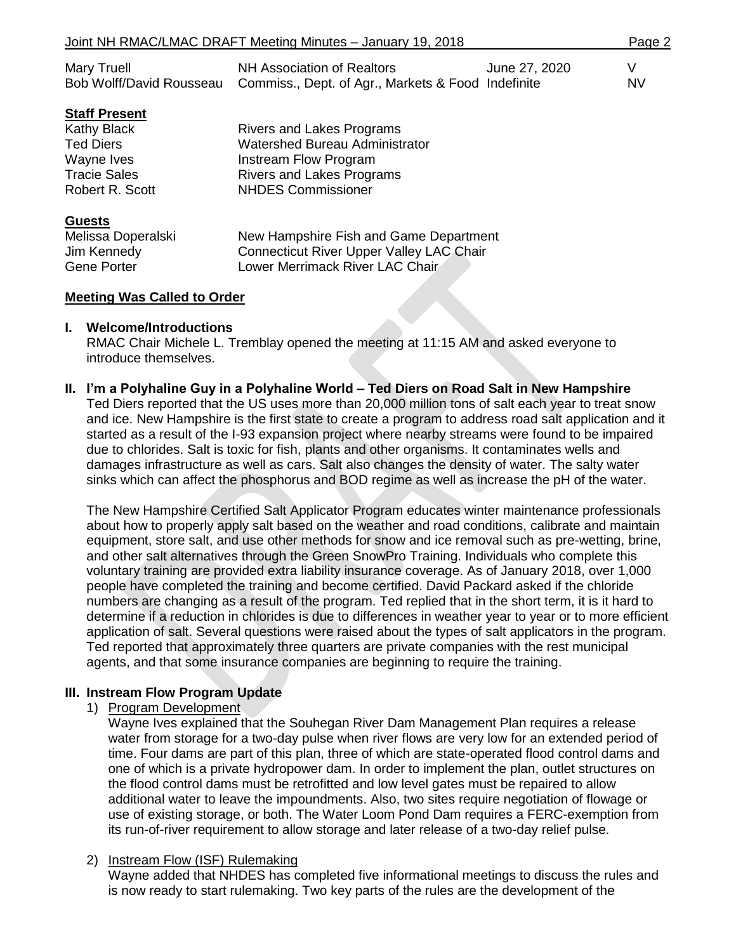| Joint NH RMAC/LMAC DRAFT Meeting Minutes - January 19, 2018               |                                                                                                                                                                     |               |                |
|---------------------------------------------------------------------------|---------------------------------------------------------------------------------------------------------------------------------------------------------------------|---------------|----------------|
| Mary Truell<br>Bob Wolff/David Rousseau                                   | <b>NH Association of Realtors</b><br>Commiss., Dept. of Agr., Markets & Food Indefinite                                                                             | June 27, 2020 | V<br><b>NV</b> |
| <b>Staff Present</b>                                                      |                                                                                                                                                                     |               |                |
| Kathy Black<br>Ted Diers<br>Wayne Ives<br>Tracie Sales<br>Robert R. Scott | <b>Rivers and Lakes Programs</b><br><b>Watershed Bureau Administrator</b><br>Instream Flow Program<br><b>Rivers and Lakes Programs</b><br><b>NHDES Commissioner</b> |               |                |
| <b>Guests</b><br>Melissa Doperalski<br>Jim Kennedy<br>Gene Porter         | New Hampshire Fish and Game Department<br>Connecticut River Upper Valley LAC Chair<br>Lower Merrimack River LAC Chair                                               |               |                |

#### **Meeting Was Called to Order**

#### **I. Welcome/Introductions**

RMAC Chair Michele L. Tremblay opened the meeting at 11:15 AM and asked everyone to introduce themselves.

#### **II. I'm a Polyhaline Guy in a Polyhaline World – Ted Diers on Road Salt in New Hampshire**

Ted Diers reported that the US uses more than 20,000 million tons of salt each year to treat snow and ice. New Hampshire is the first state to create a program to address road salt application and it started as a result of the I-93 expansion project where nearby streams were found to be impaired due to chlorides. Salt is toxic for fish, plants and other organisms. It contaminates wells and damages infrastructure as well as cars. Salt also changes the density of water. The salty water sinks which can affect the phosphorus and BOD regime as well as increase the pH of the water.

The New Hampshire Certified Salt Applicator Program educates winter maintenance professionals about how to properly apply salt based on the weather and road conditions, calibrate and maintain equipment, store salt, and use other methods for snow and ice removal such as pre-wetting, brine, and other salt alternatives through the Green SnowPro Training. Individuals who complete this voluntary training are provided extra liability insurance coverage. As of January 2018, over 1,000 people have completed the training and become certified. David Packard asked if the chloride numbers are changing as a result of the program. Ted replied that in the short term, it is it hard to determine if a reduction in chlorides is due to differences in weather year to year or to more efficient application of salt. Several questions were raised about the types of salt applicators in the program. Ted reported that approximately three quarters are private companies with the rest municipal agents, and that some insurance companies are beginning to require the training.

#### **III. Instream Flow Program Update**

1) Program Development

Wayne Ives explained that the Souhegan River Dam Management Plan requires a release water from storage for a two-day pulse when river flows are very low for an extended period of time. Four dams are part of this plan, three of which are state-operated flood control dams and one of which is a private hydropower dam. In order to implement the plan, outlet structures on the flood control dams must be retrofitted and low level gates must be repaired to allow additional water to leave the impoundments. Also, two sites require negotiation of flowage or use of existing storage, or both. The Water Loom Pond Dam requires a FERC-exemption from its run-of-river requirement to allow storage and later release of a two-day relief pulse.

#### 2) Instream Flow (ISF) Rulemaking

Wayne added that NHDES has completed five informational meetings to discuss the rules and is now ready to start rulemaking. Two key parts of the rules are the development of the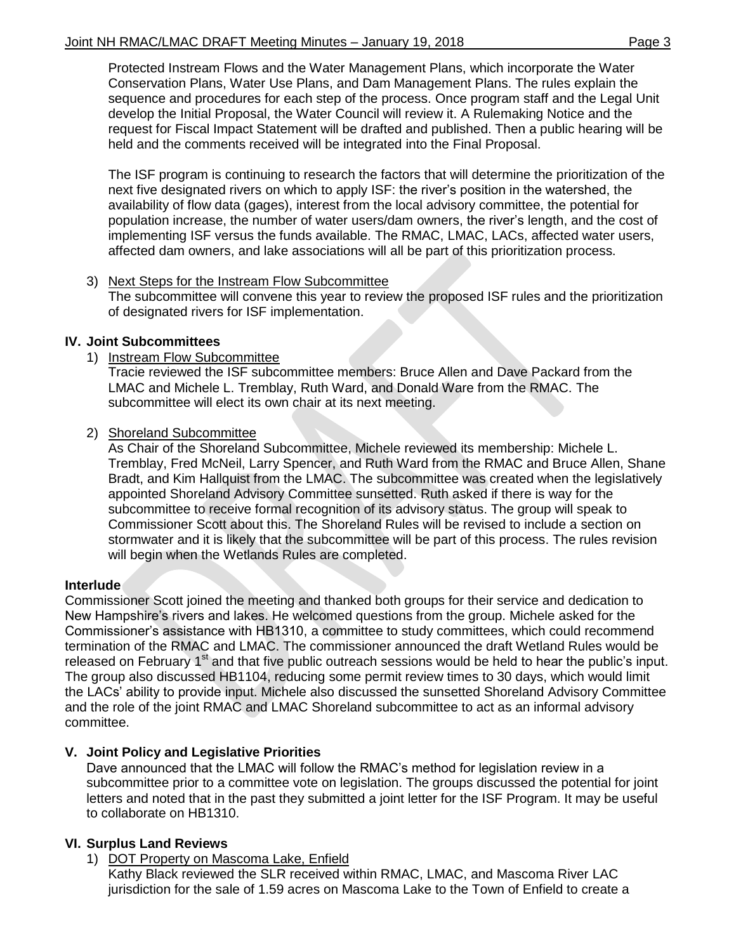Protected Instream Flows and the Water Management Plans, which incorporate the Water Conservation Plans, Water Use Plans, and Dam Management Plans. The rules explain the sequence and procedures for each step of the process. Once program staff and the Legal Unit develop the Initial Proposal, the Water Council will review it. A Rulemaking Notice and the request for Fiscal Impact Statement will be drafted and published. Then a public hearing will be held and the comments received will be integrated into the Final Proposal.

The ISF program is continuing to research the factors that will determine the prioritization of the next five designated rivers on which to apply ISF: the river's position in the watershed, the availability of flow data (gages), interest from the local advisory committee, the potential for population increase, the number of water users/dam owners, the river's length, and the cost of implementing ISF versus the funds available. The RMAC, LMAC, LACs, affected water users, affected dam owners, and lake associations will all be part of this prioritization process.

## 3) Next Steps for the Instream Flow Subcommittee

The subcommittee will convene this year to review the proposed ISF rules and the prioritization of designated rivers for ISF implementation.

## **IV. Joint Subcommittees**

1) Instream Flow Subcommittee

Tracie reviewed the ISF subcommittee members: Bruce Allen and Dave Packard from the LMAC and Michele L. Tremblay, Ruth Ward, and Donald Ware from the RMAC. The subcommittee will elect its own chair at its next meeting.

2) Shoreland Subcommittee

As Chair of the Shoreland Subcommittee, Michele reviewed its membership: Michele L. Tremblay, Fred McNeil, Larry Spencer, and Ruth Ward from the RMAC and Bruce Allen, Shane Bradt, and Kim Hallquist from the LMAC. The subcommittee was created when the legislatively appointed Shoreland Advisory Committee sunsetted. Ruth asked if there is way for the subcommittee to receive formal recognition of its advisory status. The group will speak to Commissioner Scott about this. The Shoreland Rules will be revised to include a section on stormwater and it is likely that the subcommittee will be part of this process. The rules revision will begin when the Wetlands Rules are completed.

## **Interlude**

Commissioner Scott joined the meeting and thanked both groups for their service and dedication to New Hampshire's rivers and lakes. He welcomed questions from the group. Michele asked for the Commissioner's assistance with HB1310, a committee to study committees, which could recommend termination of the RMAC and LMAC. The commissioner announced the draft Wetland Rules would be released on February 1<sup>st</sup> and that five public outreach sessions would be held to hear the public's input. The group also discussed HB1104, reducing some permit review times to 30 days, which would limit the LACs' ability to provide input. Michele also discussed the sunsetted Shoreland Advisory Committee and the role of the joint RMAC and LMAC Shoreland subcommittee to act as an informal advisory committee.

## **V. Joint Policy and Legislative Priorities**

Dave announced that the LMAC will follow the RMAC's method for legislation review in a subcommittee prior to a committee vote on legislation. The groups discussed the potential for joint letters and noted that in the past they submitted a joint letter for the ISF Program. It may be useful to collaborate on HB1310.

## **VI. Surplus Land Reviews**

1) DOT Property on Mascoma Lake, Enfield

Kathy Black reviewed the SLR received within RMAC, LMAC, and Mascoma River LAC jurisdiction for the sale of 1.59 acres on Mascoma Lake to the Town of Enfield to create a